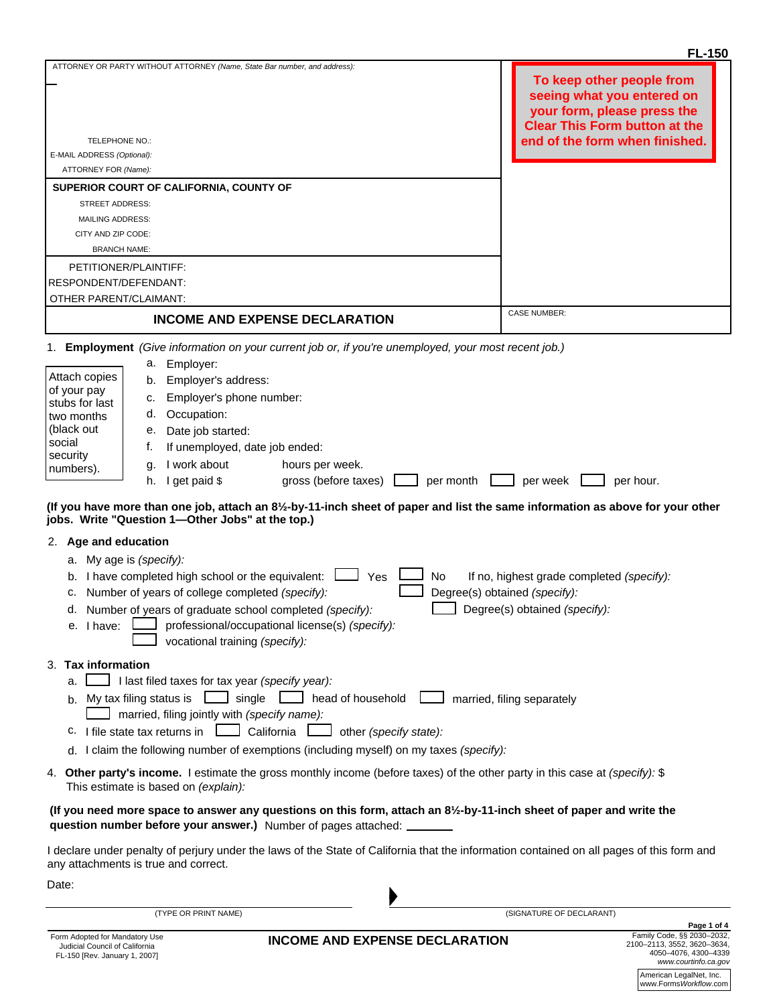|                                                                                                                                                                      |                                                                                                                                                                                                | <b>FL-150</b>                                                                                                                  |  |  |  |
|----------------------------------------------------------------------------------------------------------------------------------------------------------------------|------------------------------------------------------------------------------------------------------------------------------------------------------------------------------------------------|--------------------------------------------------------------------------------------------------------------------------------|--|--|--|
|                                                                                                                                                                      | ATTORNEY OR PARTY WITHOUT ATTORNEY (Name, State Bar number, and address):                                                                                                                      | To keep other people from<br>seeing what you entered on<br>your form, please press the<br><b>Clear This Form button at the</b> |  |  |  |
| TELEPHONE NO.:                                                                                                                                                       |                                                                                                                                                                                                | end of the form when finished.                                                                                                 |  |  |  |
| E-MAIL ADDRESS (Optional):                                                                                                                                           |                                                                                                                                                                                                |                                                                                                                                |  |  |  |
| ATTORNEY FOR (Name):                                                                                                                                                 |                                                                                                                                                                                                |                                                                                                                                |  |  |  |
|                                                                                                                                                                      | SUPERIOR COURT OF CALIFORNIA, COUNTY OF                                                                                                                                                        |                                                                                                                                |  |  |  |
| <b>STREET ADDRESS:</b>                                                                                                                                               |                                                                                                                                                                                                |                                                                                                                                |  |  |  |
| <b>MAILING ADDRESS:</b>                                                                                                                                              |                                                                                                                                                                                                |                                                                                                                                |  |  |  |
| CITY AND ZIP CODE:                                                                                                                                                   |                                                                                                                                                                                                |                                                                                                                                |  |  |  |
| <b>BRANCH NAME:</b>                                                                                                                                                  |                                                                                                                                                                                                |                                                                                                                                |  |  |  |
| PETITIONER/PLAINTIFF:                                                                                                                                                |                                                                                                                                                                                                |                                                                                                                                |  |  |  |
| RESPONDENT/DEFENDANT:                                                                                                                                                |                                                                                                                                                                                                |                                                                                                                                |  |  |  |
| OTHER PARENT/CLAIMANT:                                                                                                                                               |                                                                                                                                                                                                |                                                                                                                                |  |  |  |
|                                                                                                                                                                      |                                                                                                                                                                                                | <b>CASE NUMBER:</b>                                                                                                            |  |  |  |
|                                                                                                                                                                      | <b>INCOME AND EXPENSE DECLARATION</b>                                                                                                                                                          |                                                                                                                                |  |  |  |
| 1.                                                                                                                                                                   | Employment (Give information on your current job or, if you're unemployed, your most recent job.)                                                                                              |                                                                                                                                |  |  |  |
|                                                                                                                                                                      | Employer:<br>а.                                                                                                                                                                                |                                                                                                                                |  |  |  |
| Attach copies                                                                                                                                                        | Employer's address:<br>b.                                                                                                                                                                      |                                                                                                                                |  |  |  |
| of your pay                                                                                                                                                          | Employer's phone number:<br>c.                                                                                                                                                                 |                                                                                                                                |  |  |  |
| stubs for last                                                                                                                                                       | Occupation:<br>d.                                                                                                                                                                              |                                                                                                                                |  |  |  |
| two months<br>(black out                                                                                                                                             | Date job started:<br>е.                                                                                                                                                                        |                                                                                                                                |  |  |  |
| social                                                                                                                                                               |                                                                                                                                                                                                |                                                                                                                                |  |  |  |
| security                                                                                                                                                             | If unemployed, date job ended:<br>t.                                                                                                                                                           |                                                                                                                                |  |  |  |
| numbers).                                                                                                                                                            | I work about<br>hours per week.<br>g.                                                                                                                                                          |                                                                                                                                |  |  |  |
|                                                                                                                                                                      | I get paid \$<br>gross (before taxes)<br>per month<br>h.                                                                                                                                       | per week<br>per hour.                                                                                                          |  |  |  |
|                                                                                                                                                                      | (If you have more than one job, attach an 81/2-by-11-inch sheet of paper and list the same information as above for your other<br>jobs. Write "Question 1-Other Jobs" at the top.)             |                                                                                                                                |  |  |  |
| 2. Age and education                                                                                                                                                 |                                                                                                                                                                                                |                                                                                                                                |  |  |  |
| a. My age is (specify):                                                                                                                                              |                                                                                                                                                                                                |                                                                                                                                |  |  |  |
|                                                                                                                                                                      | b. I have completed high school or the equivalent:<br>No<br>Yes                                                                                                                                | If no, highest grade completed (specify):                                                                                      |  |  |  |
| c.                                                                                                                                                                   | Number of years of college completed (specify):                                                                                                                                                | Degree(s) obtained (specify):                                                                                                  |  |  |  |
|                                                                                                                                                                      | d. Number of years of graduate school completed (specify):                                                                                                                                     | Degree(s) obtained (specify):                                                                                                  |  |  |  |
| e. I have:                                                                                                                                                           | professional/occupational license(s) (specify):                                                                                                                                                |                                                                                                                                |  |  |  |
|                                                                                                                                                                      | vocational training (specify):                                                                                                                                                                 |                                                                                                                                |  |  |  |
| 3. Tax information                                                                                                                                                   |                                                                                                                                                                                                |                                                                                                                                |  |  |  |
| a.                                                                                                                                                                   | I last filed taxes for tax year (specify year):                                                                                                                                                |                                                                                                                                |  |  |  |
|                                                                                                                                                                      | b. My tax filing status is<br>$\Box$ single<br>head of household<br>married, filing separately                                                                                                 |                                                                                                                                |  |  |  |
| married, filing jointly with (specify name):                                                                                                                         |                                                                                                                                                                                                |                                                                                                                                |  |  |  |
| c. I file state tax returns in $\Box$<br>California<br>other (specify state):                                                                                        |                                                                                                                                                                                                |                                                                                                                                |  |  |  |
| d. I claim the following number of exemptions (including myself) on my taxes (specify):                                                                              |                                                                                                                                                                                                |                                                                                                                                |  |  |  |
| 4. Other party's income. I estimate the gross monthly income (before taxes) of the other party in this case at (specify): \$<br>This estimate is based on (explain): |                                                                                                                                                                                                |                                                                                                                                |  |  |  |
|                                                                                                                                                                      | (If you need more space to answer any questions on this form, attach an 81/2-by-11-inch sheet of paper and write the<br>question number before your answer.) Number of pages attached: _______ |                                                                                                                                |  |  |  |
|                                                                                                                                                                      | I declare under penalty of perjury under the laws of the State of California that the information contained on all pages of this form and<br>any attachments is true and correct.              |                                                                                                                                |  |  |  |
|                                                                                                                                                                      |                                                                                                                                                                                                |                                                                                                                                |  |  |  |
| Date:                                                                                                                                                                |                                                                                                                                                                                                |                                                                                                                                |  |  |  |

(TYPE OR PRINT NAME)

American LegalNet, Inc. www.Forms*Workflow*.com **Page 1 of 4** Family Code, §§ 2030–2032, 2100–2113, 3552, 3620–3634, 4050–4076, 4300–4339 *www.courtinfo.ca.gov*

(SIGNATURE OF DECLARANT)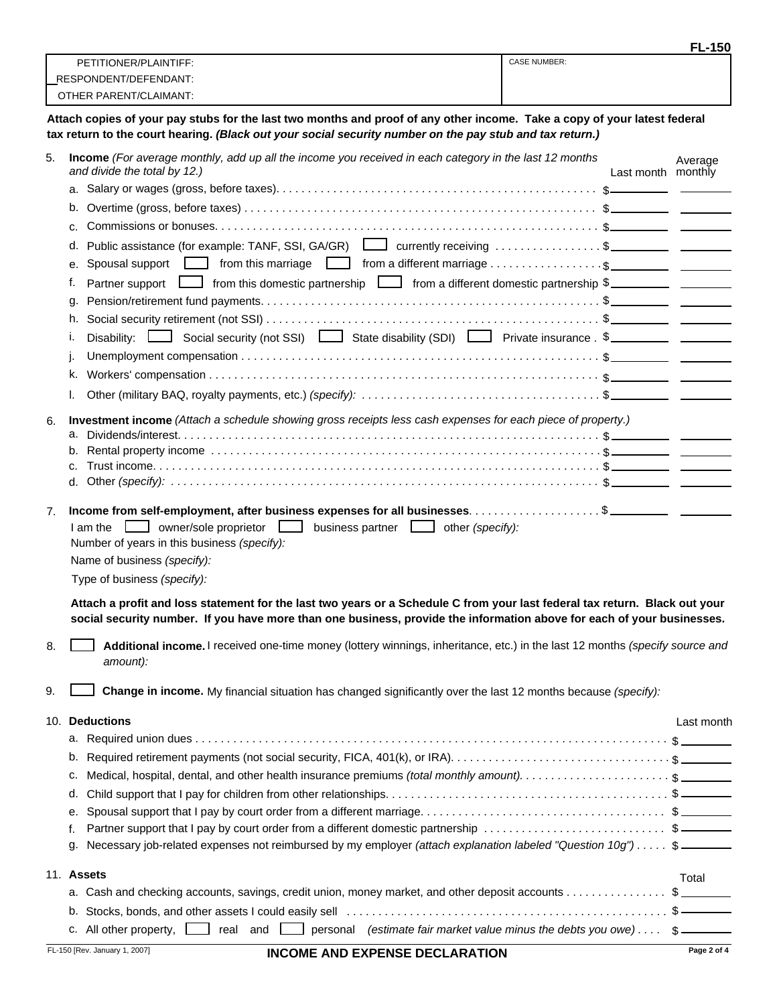|    |                                                                                                                                                                                                                                                       |                    | <b>FL-150</b> |
|----|-------------------------------------------------------------------------------------------------------------------------------------------------------------------------------------------------------------------------------------------------------|--------------------|---------------|
|    | <b>CASE NUMBER:</b><br>PETITIONER/PLAINTIFF:                                                                                                                                                                                                          |                    |               |
|    | RESPONDENT/DEFENDANT:<br>OTHER PARENT/CLAIMANT:                                                                                                                                                                                                       |                    |               |
|    |                                                                                                                                                                                                                                                       |                    |               |
|    | Attach copies of your pay stubs for the last two months and proof of any other income. Take a copy of your latest federal<br>tax return to the court hearing. (Black out your social security number on the pay stub and tax return.)                 |                    |               |
| 5. | Income (For average monthly, add up all the income you received in each category in the last 12 months<br>and divide the total by 12.)                                                                                                                | Last month monthly | Average       |
|    |                                                                                                                                                                                                                                                       |                    |               |
|    |                                                                                                                                                                                                                                                       |                    |               |
|    | C.                                                                                                                                                                                                                                                    |                    |               |
|    | Public assistance (for example: TANF, SSI, GA/GR) $\Box$ currently receiving \$<br>d.                                                                                                                                                                 |                    |               |
|    | е.                                                                                                                                                                                                                                                    |                    |               |
|    | Partner support <u>L</u> from this domestic partnership L from a different domestic partnership \$<br>f.                                                                                                                                              |                    |               |
|    | q.                                                                                                                                                                                                                                                    |                    |               |
|    | h.<br>Disability: <u>Land Social security</u> (not SSI) <b>Land State disability (SDI) Land Private insurance</b> . \$<br>۱.                                                                                                                          |                    |               |
|    |                                                                                                                                                                                                                                                       |                    |               |
|    | ĸ.                                                                                                                                                                                                                                                    |                    |               |
|    | I.                                                                                                                                                                                                                                                    |                    |               |
|    | Investment income (Attach a schedule showing gross receipts less cash expenses for each piece of property.)                                                                                                                                           |                    |               |
| 6. | а.                                                                                                                                                                                                                                                    |                    |               |
|    |                                                                                                                                                                                                                                                       |                    |               |
|    |                                                                                                                                                                                                                                                       |                    |               |
|    |                                                                                                                                                                                                                                                       |                    |               |
| 7. | $\Box$ owner/sole proprietor $\Box$ business partner $\Box$ other (specify):<br>I am the<br>Number of years in this business (specify):                                                                                                               |                    |               |
|    | Name of business (specify):                                                                                                                                                                                                                           |                    |               |
|    | Type of business (specify):                                                                                                                                                                                                                           |                    |               |
|    | Attach a profit and loss statement for the last two vears or a Schedule C from your last federal tax return. Black out your<br>social security number. If you have more than one business, provide the information above for each of your businesses. |                    |               |
| 8. | Additional income. I received one-time money (lottery winnings, inheritance, etc.) in the last 12 months (specify source and<br>amount):                                                                                                              |                    |               |
| 9. | Change in income. My financial situation has changed significantly over the last 12 months because (specify):                                                                                                                                         |                    |               |
|    | 10. Deductions                                                                                                                                                                                                                                        |                    | Last month    |
|    |                                                                                                                                                                                                                                                       |                    |               |
|    | b.                                                                                                                                                                                                                                                    |                    |               |
|    | c.                                                                                                                                                                                                                                                    |                    |               |
|    | d.                                                                                                                                                                                                                                                    |                    |               |
|    | е.<br>Partner support that I pay by court order from a different domestic partnership \$<br>f.                                                                                                                                                        |                    |               |
|    | Necessary job-related expenses not reimbursed by my employer (attach explanation labeled "Question 10g") \$<br>g.                                                                                                                                     |                    |               |
|    |                                                                                                                                                                                                                                                       |                    |               |
|    | 11. Assets<br>a. Cash and checking accounts, savings, credit union, money market, and other deposit accounts \$                                                                                                                                       |                    | Total         |
|    |                                                                                                                                                                                                                                                       |                    |               |
|    | personal (estimate fair market value minus the debts you owe) \$<br>c. All other property, $\boxed{\phantom{a}}$<br>real and $\boxed{\phantom{1}}$                                                                                                    |                    |               |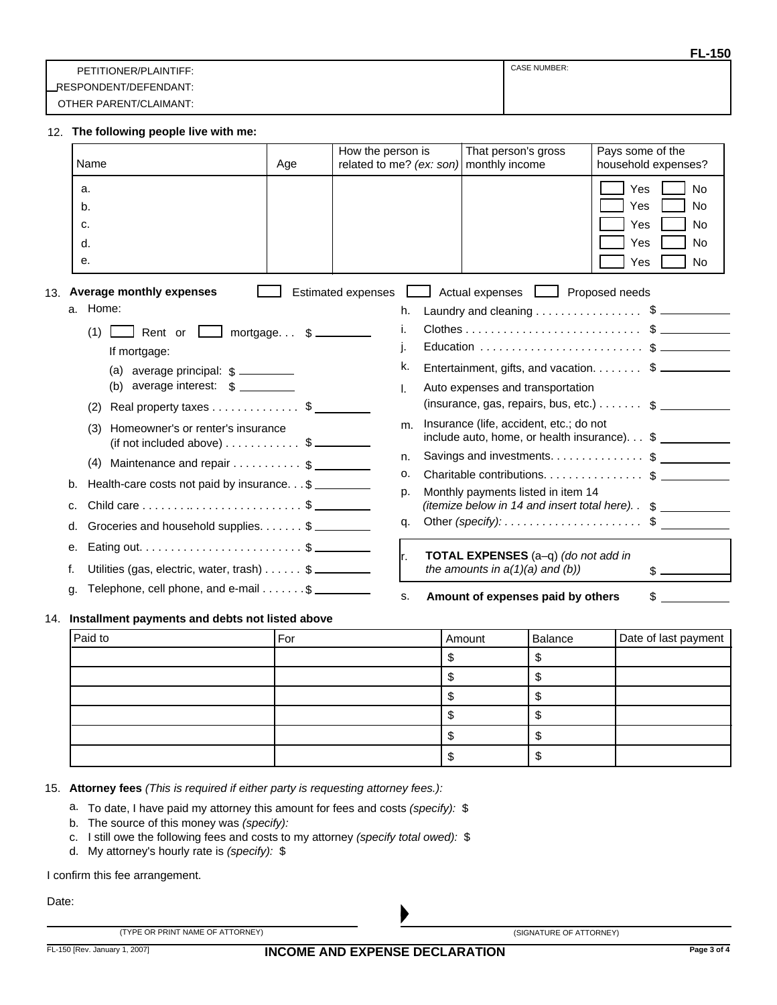|                        | ---                 |
|------------------------|---------------------|
| PETITIONER/PLAINTIFF:  | <b>CASE NUMBER:</b> |
| LRESPONDENT/DEFENDANT: |                     |
| OTHER PARENT/CLAIMANT: |                     |

## **The following people live with me:** 12.

| Name                                                                                                                                                                                                    | Age | How the person is<br>related to me? (ex: son) | That person's gross<br>monthly income                                                                                                                                                     | Pays some of the<br>household expenses?                                                          |
|---------------------------------------------------------------------------------------------------------------------------------------------------------------------------------------------------------|-----|-----------------------------------------------|-------------------------------------------------------------------------------------------------------------------------------------------------------------------------------------------|--------------------------------------------------------------------------------------------------|
| a.<br>b.<br>c.<br>d.<br>е.                                                                                                                                                                              |     |                                               |                                                                                                                                                                                           | Yes<br><b>No</b><br>Yes<br><b>No</b><br>Yes<br><b>No</b><br>Yes<br><b>No</b><br>Yes<br><b>No</b> |
| <b>Average monthly expenses</b><br>13.<br>a. Home:                                                                                                                                                      |     | <b>Estimated expenses</b><br>h.               | Actual expenses   Proposed needs<br>Laundry and cleaning \$                                                                                                                               |                                                                                                  |
| (1)<br>Rent or $\boxed{\phantom{a}}$ mortgage \$<br>If mortgage:<br>(b) average interest: $\frac{1}{2}$<br>Real property taxes \$<br>(2)                                                                |     | k.<br>L.                                      | Entertainment, gifts, and vacation. \$<br>Auto expenses and transportation<br>(insurance, gas, repairs, bus, etc.) $\ldots \ldots$ \$                                                     |                                                                                                  |
| Homeowner's or renter's insurance<br>(3)<br>$(i$ f not included above) $\dots \dots \dots$ \$<br>(4) Maintenance and repair $\dots \dots \dots$ \$<br>Health-care costs not paid by insurance. \$<br>b. |     | m.<br>n.<br>о.<br>p.                          | Insurance (life, accident, etc.; do not<br>include auto, home, or health insurance) \$<br>Savings and investments \$<br>Charitable contributions \$<br>Monthly payments listed in item 14 |                                                                                                  |
| c.<br>Groceries and household supplies. \$<br>d.                                                                                                                                                        |     | α.                                            | (itemize below in 14 and insert total here). \$<br>Other (specify): $\dots$ $\dots$ $\dots$ $\dots$ $\dots$ $\dots$ $\dots$ $\ddots$                                                      |                                                                                                  |
| е.<br>Utilities (gas, electric, water, trash) $\ldots$ \$                                                                                                                                               |     | lr.                                           | TOTAL EXPENSES (a-q) (do not add in<br>the amounts in $a(1)(a)$ and $(b)$ )                                                                                                               | $\frac{1}{2}$                                                                                    |
| Telephone, cell phone, and e-mail $\dots \dots$ \$<br>α.                                                                                                                                                |     | S.                                            | Amount of expenses paid by others                                                                                                                                                         | \$                                                                                               |

## **Installment payments and debts not listed above** 14.

| Paid to | For | Amount | Balance | Date of last payment |
|---------|-----|--------|---------|----------------------|
|         |     |        |         |                      |
|         |     |        |         |                      |
|         |     |        |         |                      |
|         |     |        |         |                      |
|         |     |        |         |                      |
|         |     |        |         |                      |

#### **Attorney fees** *(This is required if either party is requesting attorney fees.):* 15.

- To date, I have paid my attorney this amount for fees and costs *(specify):* \$ a.
- The source of this money was *(specify):* b.
- c. I still owe the following fees and costs to my attorney *(specify total owed)*: \$
- My attorney's hourly rate is *(specify):* \$ d.

I confirm this fee arrangement.

Date:

| (TYPE OR PRINT NAME OF ATTORNEY) | (SIGNATURE OF ATTORNEY) |
|----------------------------------|-------------------------|
|                                  |                         |

**FL-150**